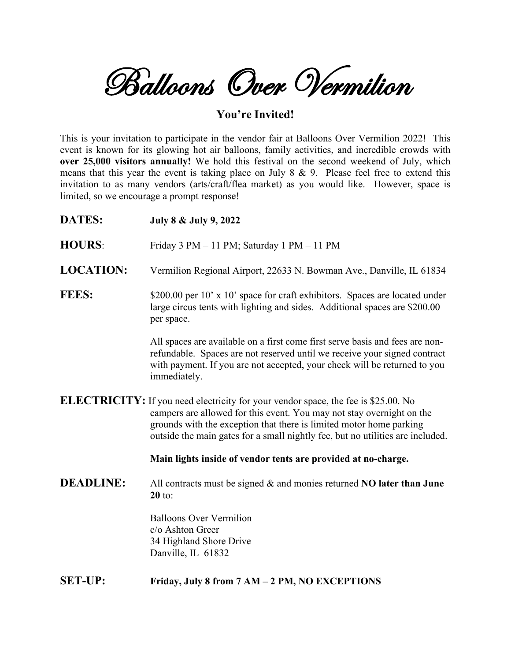Balloons Over Vermilion

## **You're Invited!**

This is your invitation to participate in the vendor fair at Balloons Over Vermilion 2022! This event is known for its glowing hot air balloons, family activities, and incredible crowds with **over 25,000 visitors annually!** We hold this festival on the second weekend of July, which means that this year the event is taking place on July  $8 \& 9$ . Please feel free to extend this invitation to as many vendors (arts/craft/flea market) as you would like. However, space is limited, so we encourage a prompt response!

| <b>DATES:</b>    | July 8 & July 9, 2022                                                                                                                                                                                                                                                                                                       |  |
|------------------|-----------------------------------------------------------------------------------------------------------------------------------------------------------------------------------------------------------------------------------------------------------------------------------------------------------------------------|--|
| <b>HOURS:</b>    | Friday 3 PM - 11 PM; Saturday 1 PM - 11 PM                                                                                                                                                                                                                                                                                  |  |
| <b>LOCATION:</b> | Vermilion Regional Airport, 22633 N. Bowman Ave., Danville, IL 61834                                                                                                                                                                                                                                                        |  |
| <b>FEES:</b>     | \$200.00 per 10' x 10' space for craft exhibitors. Spaces are located under<br>large circus tents with lighting and sides. Additional spaces are \$200.00<br>per space.                                                                                                                                                     |  |
|                  | All spaces are available on a first come first serve basis and fees are non-<br>refundable. Spaces are not reserved until we receive your signed contract<br>with payment. If you are not accepted, your check will be returned to you<br>immediately.                                                                      |  |
|                  | <b>ELECTRICITY:</b> If you need electricity for your vendor space, the fee is \$25.00. No<br>campers are allowed for this event. You may not stay overnight on the<br>grounds with the exception that there is limited motor home parking<br>outside the main gates for a small nightly fee, but no utilities are included. |  |
|                  | Main lights inside of vendor tents are provided at no-charge.                                                                                                                                                                                                                                                               |  |
| <b>DEADLINE:</b> | All contracts must be signed $\&$ and monies returned NO later than June<br>$20$ to:                                                                                                                                                                                                                                        |  |
|                  | <b>Balloons Over Vermilion</b><br>c/o Ashton Greer<br>34 Highland Shore Drive<br>Danville, IL 61832                                                                                                                                                                                                                         |  |
| <b>SET-UP:</b>   | Friday, July 8 from 7 AM - 2 PM, NO EXCEPTIONS                                                                                                                                                                                                                                                                              |  |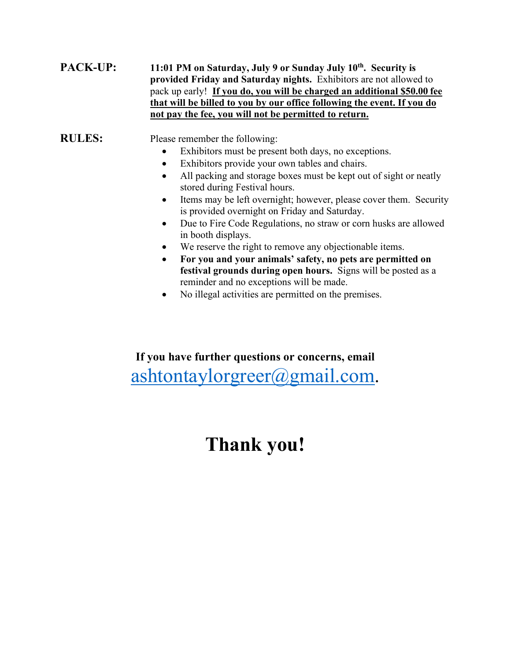## **PACK-UP:** 11:01 PM on Saturday, July 9 or Sunday July 10<sup>th</sup>. Security is **provided Friday and Saturday nights.** Exhibitors are not allowed to pack up early! **If you do, you will be charged an additional \$50.00 fee that will be billed to you by our office following the event. If you do not pay the fee, you will not be permitted to return.**

**RULES:** Please remember the following:

- Exhibitors must be present both days, no exceptions.
- Exhibitors provide your own tables and chairs.
- All packing and storage boxes must be kept out of sight or neatly stored during Festival hours.
- Items may be left overnight; however, please cover them. Security is provided overnight on Friday and Saturday.
- Due to Fire Code Regulations, no straw or corn husks are allowed in booth displays.
- We reserve the right to remove any objectionable items.
- **For you and your animals' safety, no pets are permitted on festival grounds during open hours.** Signs will be posted as a reminder and no exceptions will be made.
- No illegal activities are permitted on the premises.

**If you have further questions or concerns, email**  [ashtontaylorgreer@gmail.com.](mailto:ashtontaylorgreer@gmail.com)

## **Thank you!**